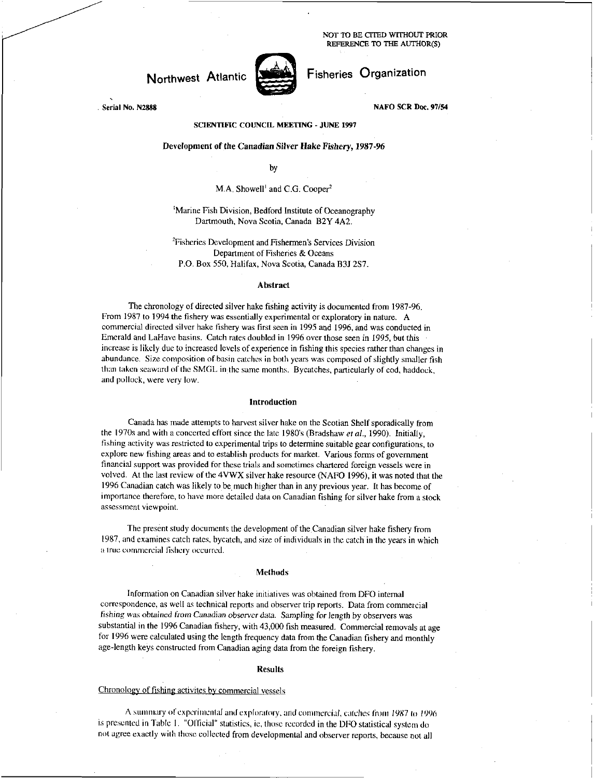NOT TO BE CITED WITHOUT PRIOR REFERENCE TO THE AUTHOR(S)

Fisheries Organization

# Northwest Atlantic



NAFO SCR Doc. 97/54

Serial No. N2888

### SCIENTIFIC COUNCIL MEETING - JUNE 1997

### Development of the Canadian Silver *Hake Fishery,* 1987-96

by

### M.A. Showell' and C.O. Cooper'

## 'Marine Fish Division, Bedford Institute of Oceanography Dartmouth, Nova Scotia, Canada B2Y 4A2.

'Fisheries Development and Fishermen's Services Division Department of Fisheries & Oceans P.O. Box 550, Halifax, Nova Scotia, Canada B3J 2S7.

### Abstract

The chronology of directed silver hake fishing activity is documented from 1987-96. From 1987 to 1994 the fishery was essentially experimental or exploratory in nature. A commercial directed silver hake fishery was first seen in 1995 and 1996, and was conducted in Emerald and LaHave basins. Catch rates doubled in 1996 over those seen in 1995, but this increase is likely due to increased levels of experience in fishing this species rather than changes in abundance. Size composition of basin catches in both years was composed of slightly smaller fish than taken seaward of the SMGL in. the same months. Bycatches, particularly of cod, haddock, and pollock, were very low.

#### Introduction

Canada has made attempts to harvest silver hake on the Scotian Shelf sporadically from the 1970s and with a concerted effort since the late 1980's (Bradshaw *et al.,* 1990). Initially, fishing activity was restricted to experimental trips to determine suitable gear configurations, to explore new fishing areas and to establish products for market. Various forms of government financial support was provided for these trials and sometimes chartered foreign vessels were in volved. At the last review of the 4VWX silver hake resource (NAFO 1996), it was noted that the 1996 Canadian catch was likely to be much higher than in any previous year. It has become of importance therefore, to have more detailed data on Canadian fishing for silver hake from a stock assessment viewpoint.

The present study documents the development of the,Canadian silver hake fishery from 1987, and examines catch rates, bycatch, and size of individuals in the catch in the years in which a true commercial fishery occurred.

### Methods

Information on Canadian silver hake initiatives was obtained from DFO internal correspondence, as well as technical reports and observer trip reports. Data from commercial fishing was obtained *from Canadian observer data.* Sampling for length by observers was substantial in the 1996 Canadian fishery, with 43,000 fish measured. Commercial removals at age for 1996 were calculated using the length frequency data from the Canadian fishery and monthly age-length keys constructed from Canadian aging data from the foreign fishery.

#### Results

### Chronology of fishing activites by commercial vessels

A summary of experimental and exploratory, and commercial, catches from 1987 to 1996 is presented in Table I. "Official" statistics, ie, those recorded in the DFO statistical system do not agree exactly with those collected from developmental and observer reports, because not all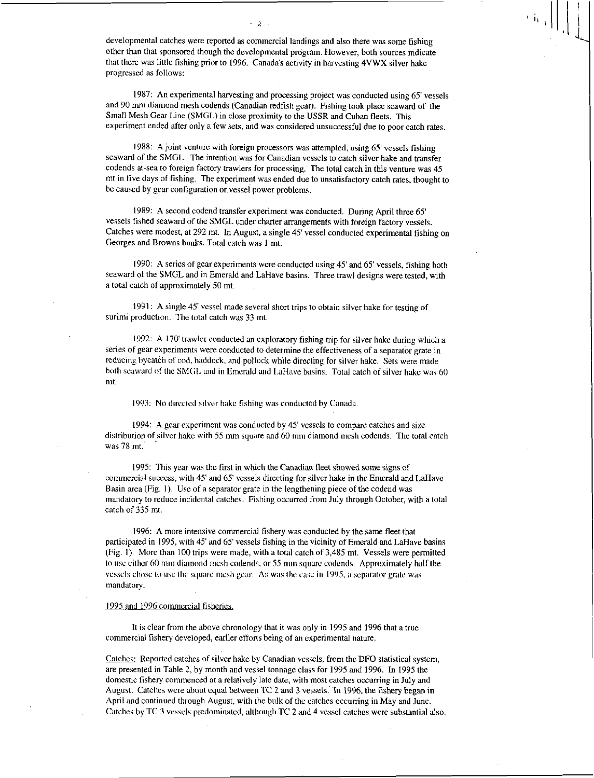developmental catches were reported as commercial landings and also there was some fishing other than that sponsored though the developmental program. However, both sources indicate that there was little fishing prior to 1996. Canada's activity in harvesting 4VWX silver hake progressed as follows:

- 2

1987: An experimental harvesting and processing project was conducted using 65' vessels and 90 mm diamond mesh codends (Canadian redfish gear). Fishing took place seaward of the Small Mesh Gear Line (SMGL) in close proximity to the USSR and Cuban fleets. This experiment ended after only a few sets, and was considered unsuccessful due to poor catch rates.

1988: A joint venture with foreign processors was attempted, using 65' vessels fishing seaward of the SMGL. The intention was for Canadian vessels to catch silver hake and transfer codends at-sea to foreign factory trawlers for processing. The total catch in this venture was 45 mt in five days of fishing. The experiment was ended due to unsatisfactory catch rates, thought to be caused by gear configuration or vessel power problems.

1989: A second codend transfer experiment was conducted. During April three 65' vessels fished seaward of the SMGL under charter arrangements with foreign factory vessels. Catches were modest, at 292 mt. In August, a single 45' vessel conducted experimental fishing on Georges and Browns banks. Total catch was 1 mt.

1990: A series of gear experiments were conducted using 45' and 65' vessels, fishing both seaward of the SMGL and in Emerald and LaHave basins. Three trawl designs were tested, with a total catch of approximately 50 mt.

1991: A single 45' vessel made several short trips to obtain silver hake for testing of surimi production. The total catch was 33 mt.

1992: A 170' trawler conducted an exploratory fishing trip for silver hake during which a series of gear experiments were conducted to determine the effectiveness of a separator grate in reducing bycatch of cod, haddock, and pollock while directing for silver hake. Sets were made both seaward of the SMGL and in Emerald and LaHave basins. Total catch of silver hake was 60 mt.

1993: No directed silver hake fishing was conducted by Canada

1994: A gear experiment was conducted by 45' vessels to compare catches and size distribution of silver hake with 55 mm square and 60 mm diamond mesh codends. The total catch was 78 mt.

1995: This year was the first in which the Canadian fleet showed some signs of commercial success, with 45' and 65' vessels directing for silver hake in the Emerald and LaHave Basin area (Fig. I). Use of a separator grate in the lengthening piece of the codend was mandatory to reduce incidental catches. Fishing occurred from July through October, with a total catch of 335 mt.

1996: A more intensive commercial fishery was conducted by the same fleet that participated in 1995, with 45' and 65' vessels fishing in the vicinity of Emerald and LaHave basins (Fig. 1). More than 100 trips were made, with a total catch of 3,485 mt. Vessels were permitted to use either 60 mm diamond mesh codends, or 55 min square codends. Approximately half the vessels chose to use the square mesh gear. As was the case in 1995, a separator grate was mandatory.

# 1995 and 1996 commercial fisheries.

It is clear from the above chronology that it was only in 1995 and 1996 that a true commercial fishery developed, earlier efforts being of an experimental nature.

Catches: Reported catches of silver hake by Canadian vessels, from the DFO statistical system, are presented in Table 2, by month and vessel tonnage class for 1995 and 1996. In 1995 the domestic fishery commenced at a relatively late date, with most catches occurring in July and August. Catches were about equal between TC 2 and 3 vessels. In 19%, the fishery began in April and continued through August, with the bulk of the catches occurring in May and June. Catches by TC 3 vessels predominated, although TC 2 and 4 vessel catches were substantial also.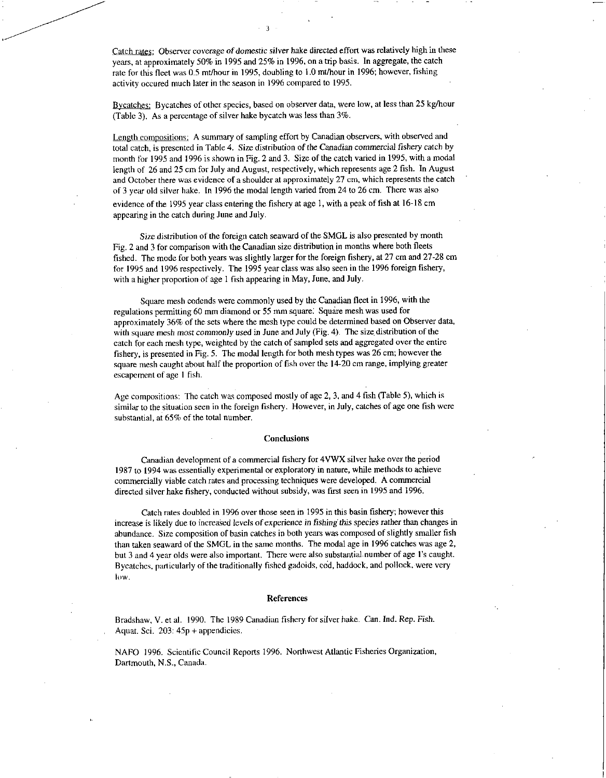Catch rates: Observer coverage of domestic silver hake directed effort was relatively high in these years, at approximately 50% in 1995 and 25% in 1996, on a trip basis. In aggregate, the catch rate for this fleet was 0.5 mt/hour in 1995, doubling to 1.0 mt/hour in 1996; however, fishing activity occured much later in the season in 1996 compared to 1995.

Bycatches: Bycatches of other species, based on observer data, were low, at less than 25 kg/hour (Table 3). As a percentage of silver hake bycatch was less than 3%.

Length compositions: A summary of sampling effort by Canadian observers, with observed and total catch, is presented in Table 4. Size distribution of the Canadian *commercial* fishery catch by month for 1995 and 1996 is shown in Fig. 2 and 3. Size of the catch varied in 1995, with a modal length of 26 and 25 cm for July and August, respectively, which represents age 2 fish. In August and October there was evidence of a shoulder at approximately 27 cm, which represents the catch of 3 year old silver hake. In 1996 the modal length varied from 24 to 26 cm. There was also

evidence of the 1995 year class entering the fishery at age 1, with a peak of fish at 16-18 cm appearing in the catch during June and July.

Size distribution of the foreign catch seaward of the SMGL is also presented by month Fig. 2 and 3 for comparison with the Canadian size distribution in months where both fleets fished. The mode for both years was slightly larger for the foreign fishery, at 27 cm and 27-28 cm for 1995 and 1996 respectively. The 1995 year class was also seen in the 1996 foreign fishery, with a higher proportion of age 1 fish appearing in May, June, and July.

Square mesh codends were commonly used by the Canadian fleet in 1996, with the regulations permitting 60 mm diamond or 55 mm square. Square mesh was used for approximately 36% of the sets where the mesh type could be determined based on Observer data, with square *mesh most commonly used in* June and July (Fig. 4). The size, distribution of the catch for each mesh type, weighted by the catch of sampled sets and aggregated over the entire fishery, is presented in Fig. 5. The modal length for both mesh types was 26 cm; however the square mesh caught about half the proportion of fish over the 14-20 cm range, implying greater escapement of age I fish.

Age compositions: The catch was composed mostly of age 2, 3, and 4 fish (Table 5), which is similar to the situation seen in the foreign fishery. However, in July, catches of age one fish were substantial, at 65% of the total number.

#### **Conclusions**

Canadian development of a commercial fishery for 4VWX silver hake over the period 1987 to 1994 was essentially experimental or exploratory in nature, while methods to achieve commercially viable catch rates and processing techniques were developed. A commercial directed silver hake fishery, conducted without subsidy, was first seen in 1995 and 1996.

Catch rates doubled in 1996 over those seen in 1995 in this basin fishery; however this increase is likely due to increased levels of *experience* in *fishing this* species rather than changes in abundance. Size composition of basin catches in both years was composed of slightly smaller fish than taken seaward of the SMGL in the same months. The modal age in 1996 catches was age 2, but 3 and 4 year olds were also important. There were also substantial number of age l's caught. Bycatches, particularly of the traditionally fished gadoids, cod, haddock, and pollock, were very low.

#### References

Bradshaw, V. et al. 1990. The 1989 Canadian fishery for silver hake. Can. Ind. Rep. Fish. Aquat. Sci. 203: 45p + appendicies.

NAFO 1996. Scientific Council Reports 1996. Northwest Atlantic Fisheries Organization, Dartmouth, N.S., Canada.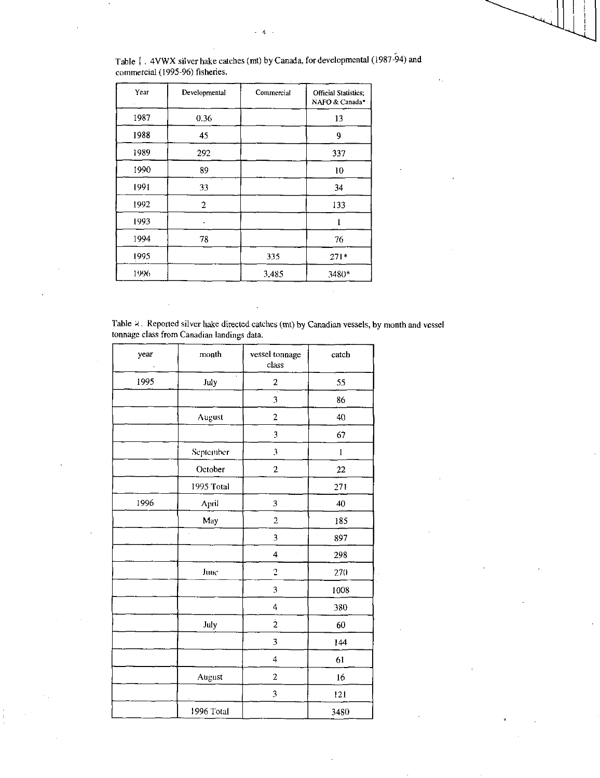| Table   4VWX silver hake catches (mt) by Canada, for developmental (1987-94) and |  |
|----------------------------------------------------------------------------------|--|
| commercial (1995-96) fisheries.                                                  |  |

| Year | Developmental  | Commercial | <b>Official Statistics:</b><br>NAFO & Canada* |  |
|------|----------------|------------|-----------------------------------------------|--|
| 1987 | 0.36           |            | 13                                            |  |
| 1988 | 45             | 9          |                                               |  |
| 1989 | 292            |            | 337                                           |  |
| 1990 | 89             |            | 10                                            |  |
| 1991 | 33             |            | 34                                            |  |
| 1992 | $\overline{2}$ |            | 133                                           |  |
| 1993 |                |            |                                               |  |
| 1994 | 78             |            | 76                                            |  |
| 1995 |                | 335        | $271*$                                        |  |
| 1996 |                | 3,485      | 3480*                                         |  |

Table 2. Reported silver hake directed catches (mt) by Canadian vessels, by month and vessel tonnage class from Canadian landings data.

| year | month      | vessel tonnage<br>class | catch        |
|------|------------|-------------------------|--------------|
| 1995 | July       | $\overline{c}$          | 55           |
|      |            | 3                       | 86           |
|      | August     | $\overline{c}$          | 40           |
|      |            | 3                       | 67           |
|      | September  | 3                       | $\mathbf{1}$ |
|      | October    | $\overline{\mathbf{c}}$ | 22           |
|      | 1995 Total |                         | 271          |
| 1996 | April      | 3                       | 40           |
|      | May        | $\overline{c}$          | 185          |
|      | l,         | 3                       | 897          |
|      |            | 4                       | 298          |
|      | June       | $\overline{\mathbf{c}}$ | 270          |
|      |            | 3                       | 1008         |
|      |            | 4                       | 380          |
|      | July       | $\frac{1}{2}$           | 60           |
|      |            | 3                       | 144          |
|      |            | 4                       | 61           |
|      | August     | $\overline{2}$          | 16           |
|      |            | 3                       | 121          |
|      | 1996 Total |                         | 3480         |

 $\frac{1}{4}$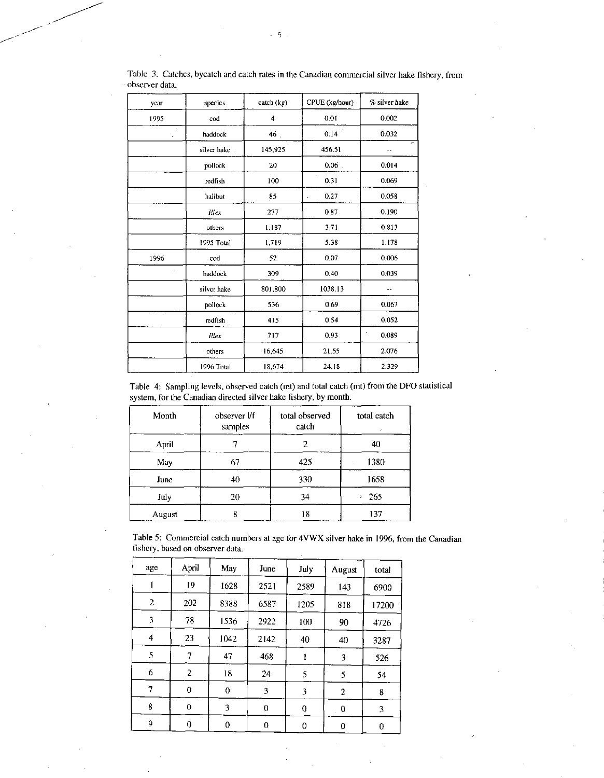| year       | species       | $\text{catch}(\text{kg})$ | CPUE (kg/hour) | % silver hake |
|------------|---------------|---------------------------|----------------|---------------|
| 1995       | cod           | $\overline{\bf 4}$        | 0.01           | 0.002         |
|            | haddock       | 46.                       | 0.14           | 0.032         |
|            | silver hake - | 145,925                   | 456.51         |               |
|            | pollock       | 20                        | 0.06           | 0.014         |
|            | redfish       | 100                       | 0.31           | 0.069         |
|            | halibut       | 85                        | 0.27<br>k.     | 0.058         |
|            | Illex         | 277                       | 0.87           | 0.190         |
|            | others        | 1.187                     | 3.71           | 0.813         |
|            | 1995 Total    | 1,719                     | 5.38           | 1.178         |
| 1996       | cod           | 52                        | 0.07           | 0.006         |
| $\epsilon$ | haddock       | 309                       | 0.40           | 0.039         |
|            | silver hake   | 801,800                   | 1038.13        | --            |
|            | pollock       | 536                       | 0.69           | 0.067         |
|            | redfish       | 415                       | 0.54           | 0.052         |
|            | <b>Illex</b>  | 717                       | 0.93           | ٠<br>0.089    |
|            | others        | 16.645                    | 21.55          | 2.076         |
|            | 1996 Total    | 18,674                    | 24.18          | 2.329         |

Table 3. Catches, bycatch and catch rates in the Canadian commercial silver hake fishery, from observer data.

Table 4: Sampling levels, observed catch (mt) and total catch (mt) from the DFO statistical system, for the Canadian directed silver hake fishery, by month.

| Month  | observer Vf<br>samples | total observed<br>catch | total catch<br>$\epsilon$ |
|--------|------------------------|-------------------------|---------------------------|
| April  |                        | 40                      |                           |
| May    | 67                     | 425                     | 1380                      |
| June   | 40                     | 330                     | 1658                      |
| July   | 20                     | $-265$<br>34            |                           |
| August | ዩ                      | 18                      | 137                       |

Table 5: Commercial catch numbers at age for 4VWX silver hake in 1996, from the Canadian fishery, based on observer data.

| age            | April          | May      | June | July             | August         | total |
|----------------|----------------|----------|------|------------------|----------------|-------|
|                | 19             | 1628     | 2521 | 2589             | 143            | 6900  |
| 2              | 202            | 8388     | 6587 | 1205             | 818            | 17200 |
| 3              | 78             | 1536     | 2922 | 100              | 90             | 4726  |
| $\overline{4}$ | 23             | 1042     | 2142 | 40               | 40             | 3287  |
| 5              | 7              | 47       | 468  |                  | 3              | 526   |
| 6              | $\overline{2}$ | 18       | 24   | 5                | 5              | 54    |
| 7              | 0              | $\bf{0}$ | 3    | 3                | $\overline{c}$ | 8     |
| 8              | 0              | 3        | 0    | $\boldsymbol{0}$ | $\mathbf 0$    | 3     |
| 9              | 0              | $\theta$ | 0    | 0                | 0              | 0     |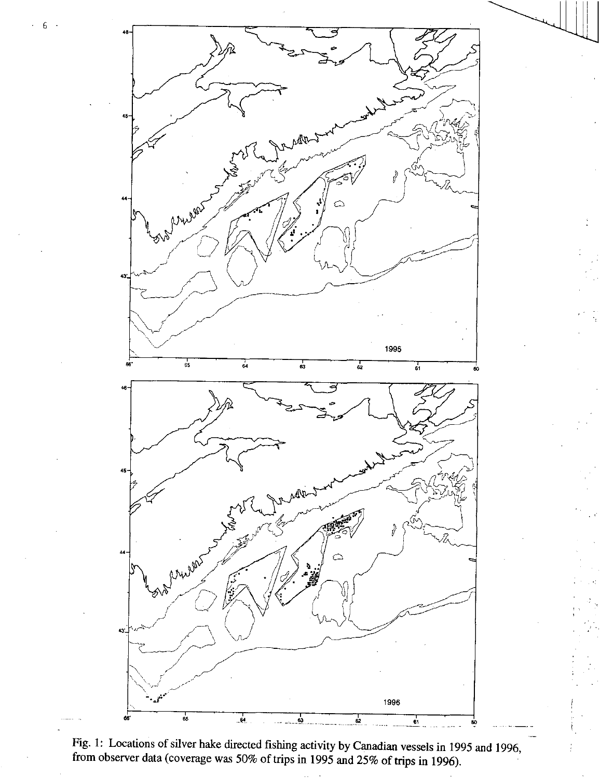

t,

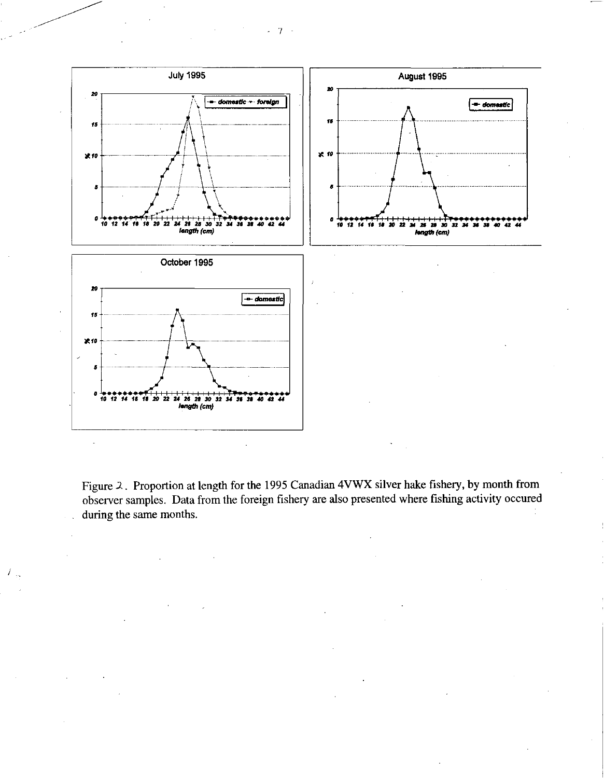

Figure 2 . Proportion at length for the 1995 Canadian 4VWX silver hake fishery, by month from observer samples. Data from the foreign fishery are also presented where fishing activity occured during the same months.

 $\mathcal{F}_{\rm ss}$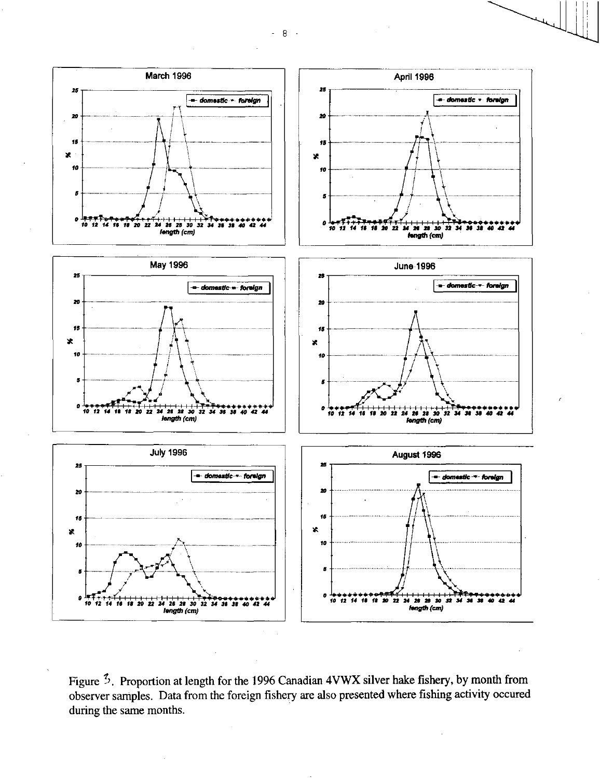$-8-$ 



Figure  $\frac{3}{2}$ . Proportion at length for the 1996 Canadian 4VWX silver hake fishery, by month from observer samples. Data from the foreign fishery are also presented where fishing activity occured during the same months.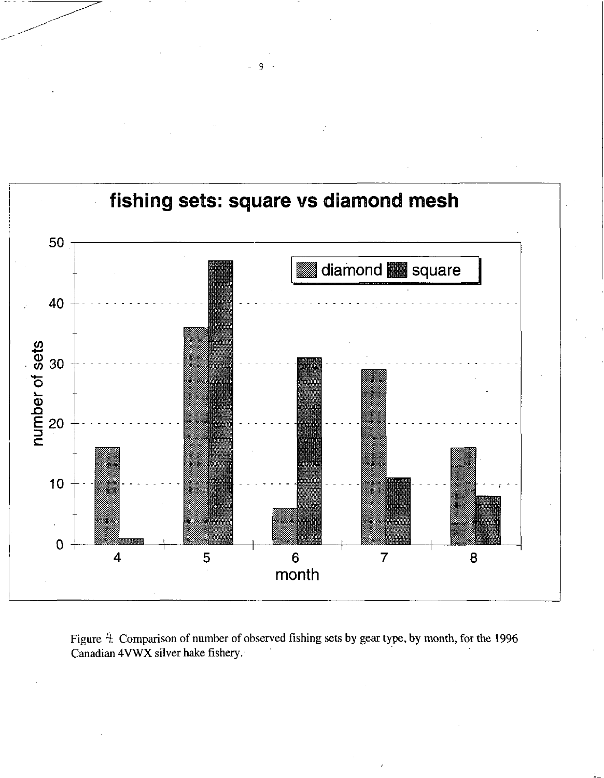

- 9 -